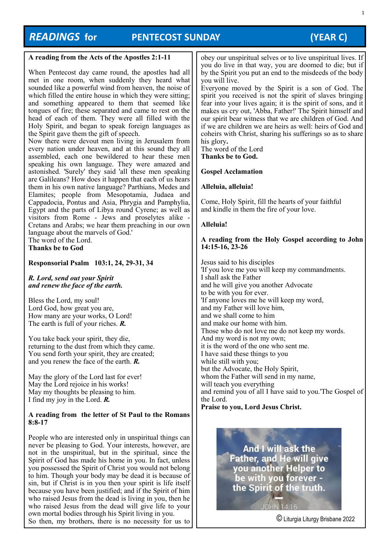# *READINGS* **for PENTECOST SUNDAY (YEAR C)**

1

# **A reading from the Acts of the Apostles 2:1-11**

When Pentecost day came round, the apostles had all met in one room, when suddenly they heard what sounded like a powerful wind from heaven, the noise of which filled the entire house in which they were sitting; and something appeared to them that seemed like tongues of fire; these separated and came to rest on the head of each of them. They were all filled with the Holy Spirit, and began to speak foreign languages as the Spirit gave them the gift of speech.

Now there were devout men living in Jerusalem from every nation under heaven, and at this sound they all assembled, each one bewildered to hear these men speaking his own language. They were amazed and astonished. 'Surely' they said 'all these men speaking are Galileans? How does it happen that each of us hears them in his own native language? Parthians, Medes and Elamites; people from Mesopotamia, Judaea and Cappadocia, Pontus and Asia, Phrygia and Pamphylia, Egypt and the parts of Libya round Cyrene; as well as visitors from Rome - Jews and proselytes alike - Cretans and Arabs; we hear them preaching in our own language about the marvels of God.' The word of the Lord.

**Thanks be to God**

# **Responsorial Psalm 103:1, 24, 29-31, 34**

*R. Lord, send out your Spirit and renew the face of the earth.*

Bless the Lord, my soul! Lord God, how great you are, How many are your works, O Lord! The earth is full of your riches. *R.*

You take back your spirit, they die, returning to the dust from which they came. You send forth your spirit, they are created; and you renew the face of the earth. *R.*

May the glory of the Lord last for ever! May the Lord rejoice in his works! May my thoughts be pleasing to him. I find my joy in the Lord. *R.*

## **A reading from the letter of St Paul to the Romans 8:8-17**

People who are interested only in unspiritual things can never be pleasing to God. Your interests, however, are not in the unspiritual, but in the spiritual, since the Spirit of God has made his home in you. In fact, unless you possessed the Spirit of Christ you would not belong to him. Though your body may be dead it is because of sin, but if Christ is in you then your spirit is life itself because you have been justified; and if the Spirit of him who raised Jesus from the dead is living in you, then he who raised Jesus from the dead will give life to your own mortal bodies through his Spirit living in you. So then, my brothers, there is no necessity for us to **OL** Liturgia Liturgia Liturgy Brisbane 2022

obey our unspiritual selves or to live unspiritual lives. If you do live in that way, you are doomed to die; but if by the Spirit you put an end to the misdeeds of the body you will live.

Everyone moved by the Spirit is a son of God. The spirit you received is not the spirit of slaves bringing fear into your lives again; it is the spirit of sons, and it makes us cry out, 'Abba, Father!' The Spirit himself and our spirit bear witness that we are children of God. And if we are children we are heirs as well: heirs of God and coheirs with Christ, sharing his sufferings so as to share his glory**.**

The word of the Lord **Thanks be to God.**

# **Gospel Acclamation**

**Alleluia, alleluia!** 

Come, Holy Spirit, fill the hearts of your faithful and kindle in them the fire of your love.

# **Alleluia!**

## **A reading from the Holy Gospel according to John 14:15-16, 23-26**

Jesus said to his disciples 'If you love me you will keep my commandments. I shall ask the Father and he will give you another Advocate to be with you for ever. 'If anyone loves me he will keep my word, and my Father will love him, and we shall come to him and make our home with him. Those who do not love me do not keep my words. And my word is not my own; it is the word of the one who sent me. I have said these things to you while still with you; but the Advocate, the Holy Spirit, whom the Father will send in my name, will teach you everything and remind you of all I have said to you.'The Gospel of the Lord. **Praise to you, Lord Jesus Christ.**

> And I will ask the **Father, and He will give vou another Helper to** be with you forever the Spirit of the truth.